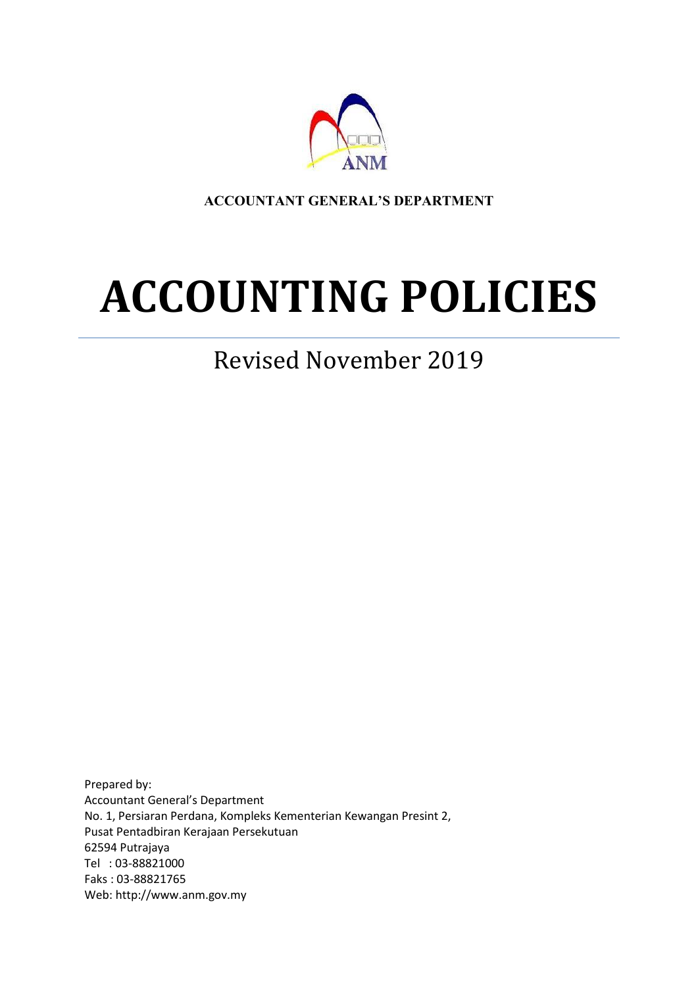

**ACCOUNTANT GENERAL'S DEPARTMENT**

# **ACCOUNTING POLICIES**

# Revised November 2019

Prepared by: Accountant General's Department No. 1, Persiaran Perdana, Kompleks Kementerian Kewangan Presint 2, Pusat Pentadbiran Kerajaan Persekutuan 62594 Putrajaya Tel : 03-88821000 Faks : 03-88821765 Web: http://www.anm.gov.my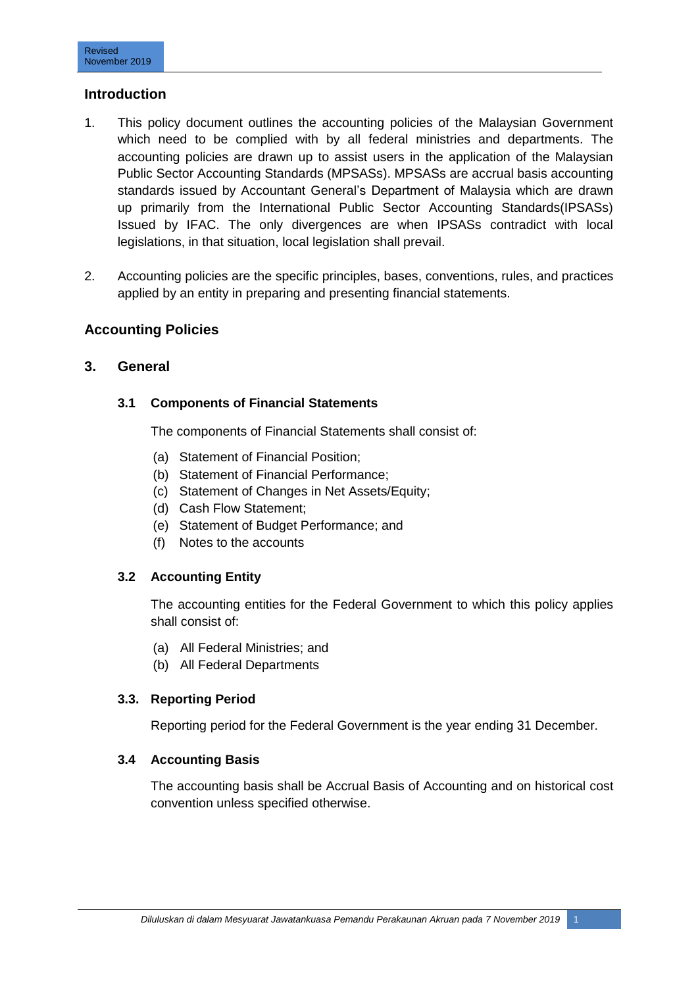# **Introduction**

- 1. This policy document outlines the accounting policies of the Malaysian Government which need to be complied with by all federal ministries and departments. The accounting policies are drawn up to assist users in the application of the Malaysian Public Sector Accounting Standards (MPSASs). MPSASs are accrual basis accounting standards issued by Accountant General"s Department of Malaysia which are drawn up primarily from the International Public Sector Accounting Standards(IPSASs) Issued by IFAC. The only divergences are when IPSASs contradict with local legislations, in that situation, local legislation shall prevail.
- 2. Accounting policies are the specific principles, bases, conventions, rules, and practices applied by an entity in preparing and presenting financial statements.

# **Accounting Policies**

# **3. General**

#### **3.1 Components of Financial Statements**

The components of Financial Statements shall consist of:

- (a) Statement of Financial Position;
- (b) Statement of Financial Performance;
- (c) Statement of Changes in Net Assets/Equity;
- (d) Cash Flow Statement;
- (e) Statement of Budget Performance; and
- (f) Notes to the accounts

#### **3.2 Accounting Entity**

The accounting entities for the Federal Government to which this policy applies shall consist of:

- (a) All Federal Ministries; and
- (b) All Federal Departments

#### **3.3. Reporting Period**

Reporting period for the Federal Government is the year ending 31 December.

#### **3.4 Accounting Basis**

The accounting basis shall be Accrual Basis of Accounting and on historical cost convention unless specified otherwise.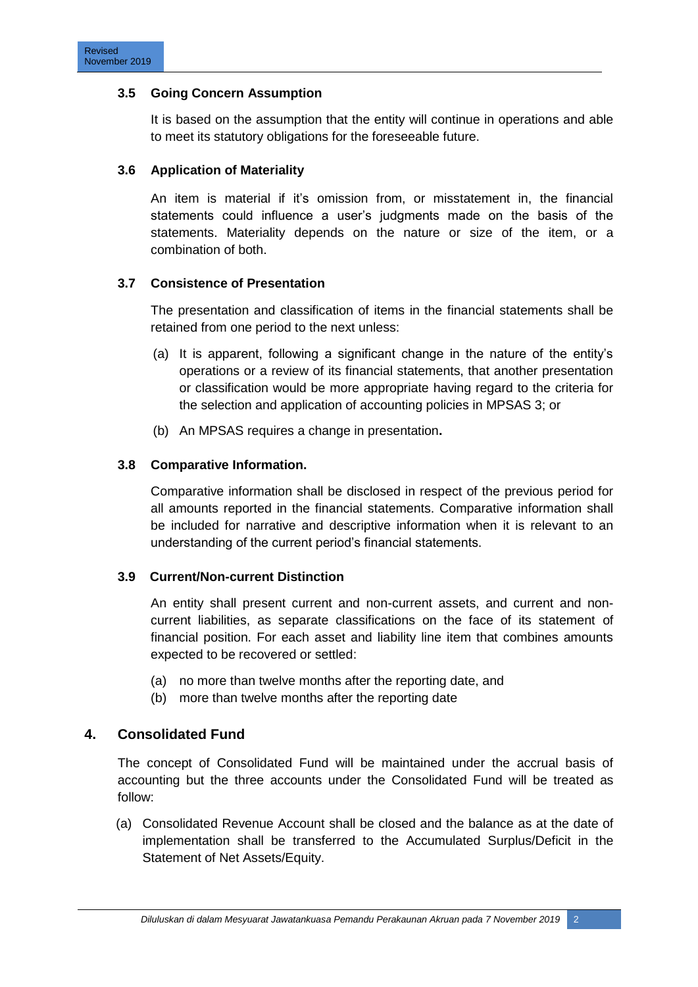#### **3.5 Going Concern Assumption**

It is based on the assumption that the entity will continue in operations and able to meet its statutory obligations for the foreseeable future.

# **3.6 Application of Materiality**

An item is material if it's omission from, or misstatement in, the financial statements could influence a user's judgments made on the basis of the statements. Materiality depends on the nature or size of the item, or a combination of both.

# **3.7 Consistence of Presentation**

The presentation and classification of items in the financial statements shall be retained from one period to the next unless:

- (a) It is apparent, following a significant change in the nature of the entity"s operations or a review of its financial statements, that another presentation or classification would be more appropriate having regard to the criteria for the selection and application of accounting policies in MPSAS 3; or
- (b) An MPSAS requires a change in presentation**.**

# **3.8 Comparative Information.**

Comparative information shall be disclosed in respect of the previous period for all amounts reported in the financial statements. Comparative information shall be included for narrative and descriptive information when it is relevant to an understanding of the current period"s financial statements.

#### **3.9 Current/Non-current Distinction**

An entity shall present current and non-current assets, and current and noncurrent liabilities, as separate classifications on the face of its statement of financial position. For each asset and liability line item that combines amounts expected to be recovered or settled:

- (a) no more than twelve months after the reporting date, and
- (b) more than twelve months after the reporting date

# **4. Consolidated Fund**

The concept of Consolidated Fund will be maintained under the accrual basis of accounting but the three accounts under the Consolidated Fund will be treated as follow:

(a) Consolidated Revenue Account shall be closed and the balance as at the date of implementation shall be transferred to the Accumulated Surplus/Deficit in the Statement of Net Assets/Equity.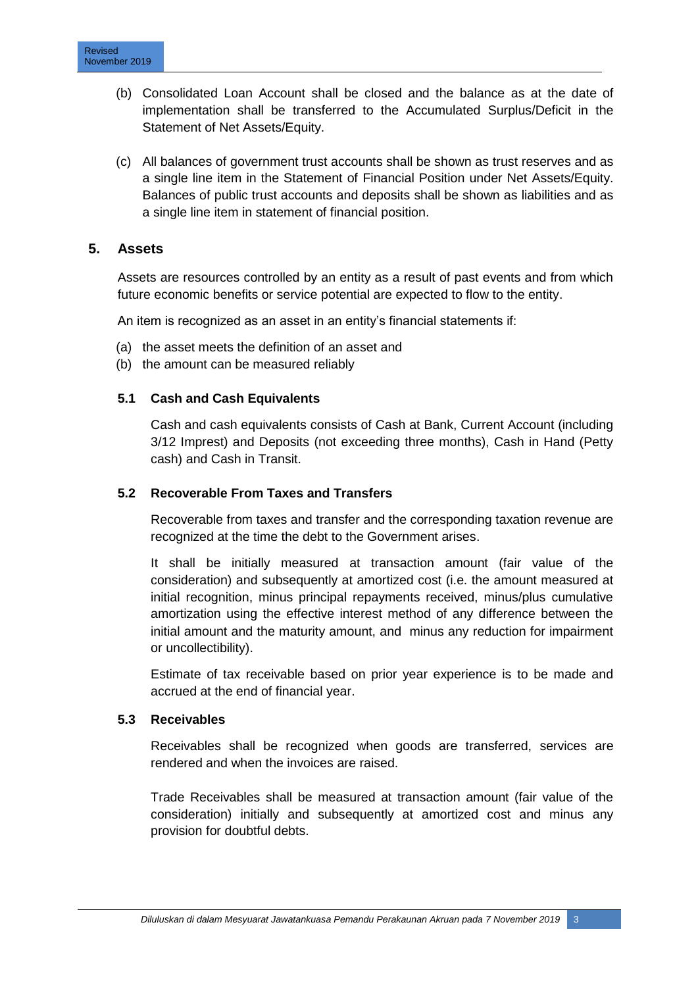- (b) Consolidated Loan Account shall be closed and the balance as at the date of implementation shall be transferred to the Accumulated Surplus/Deficit in the Statement of Net Assets/Equity.
- (c) All balances of government trust accounts shall be shown as trust reserves and as a single line item in the Statement of Financial Position under Net Assets/Equity. Balances of public trust accounts and deposits shall be shown as liabilities and as a single line item in statement of financial position.

# **5. Assets**

Assets are resources controlled by an entity as a result of past events and from which future economic benefits or service potential are expected to flow to the entity.

An item is recognized as an asset in an entity's financial statements if:

- (a) the asset meets the definition of an asset and
- (b) the amount can be measured reliably

#### **5.1 Cash and Cash Equivalents**

Cash and cash equivalents consists of Cash at Bank, Current Account (including 3/12 Imprest) and Deposits (not exceeding three months), Cash in Hand (Petty cash) and Cash in Transit.

#### **5.2 Recoverable From Taxes and Transfers**

Recoverable from taxes and transfer and the corresponding taxation revenue are recognized at the time the debt to the Government arises.

It shall be initially measured at transaction amount (fair value of the consideration) and subsequently at amortized cost (i.e. the amount measured at initial recognition, minus principal repayments received, minus/plus cumulative amortization using the effective interest method of any difference between the initial amount and the maturity amount, and minus any reduction for impairment or uncollectibility).

Estimate of tax receivable based on prior year experience is to be made and accrued at the end of financial year.

#### **5.3 Receivables**

Receivables shall be recognized when goods are transferred, services are rendered and when the invoices are raised.

Trade Receivables shall be measured at transaction amount (fair value of the consideration) initially and subsequently at amortized cost and minus any provision for doubtful debts.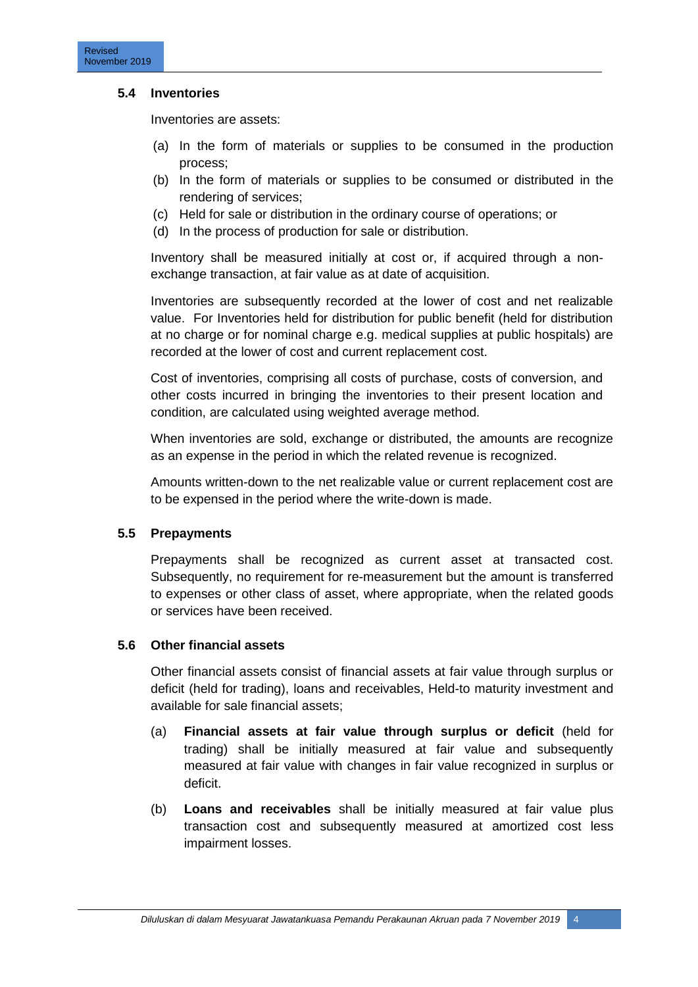#### **5.4 Inventories**

Inventories are assets:

- (a) In the form of materials or supplies to be consumed in the production process;
- (b) In the form of materials or supplies to be consumed or distributed in the rendering of services;
- (c) Held for sale or distribution in the ordinary course of operations; or
- (d) In the process of production for sale or distribution.

Inventory shall be measured initially at cost or, if acquired through a nonexchange transaction, at fair value as at date of acquisition.

Inventories are subsequently recorded at the lower of cost and net realizable value. For Inventories held for distribution for public benefit (held for distribution at no charge or for nominal charge e.g. medical supplies at public hospitals) are recorded at the lower of cost and current replacement cost.

Cost of inventories, comprising all costs of purchase, costs of conversion, and other costs incurred in bringing the inventories to their present location and condition, are calculated using weighted average method.

When inventories are sold, exchange or distributed, the amounts are recognize as an expense in the period in which the related revenue is recognized.

Amounts written-down to the net realizable value or current replacement cost are to be expensed in the period where the write-down is made.

#### **5.5 Prepayments**

Prepayments shall be recognized as current asset at transacted cost. Subsequently, no requirement for re-measurement but the amount is transferred to expenses or other class of asset, where appropriate, when the related goods or services have been received.

#### **5.6 Other financial assets**

Other financial assets consist of financial assets at fair value through surplus or deficit (held for trading), loans and receivables, Held-to maturity investment and available for sale financial assets;

- (a) **Financial assets at fair value through surplus or deficit** (held for trading) shall be initially measured at fair value and subsequently measured at fair value with changes in fair value recognized in surplus or deficit.
- (b) **Loans and receivables** shall be initially measured at fair value plus transaction cost and subsequently measured at amortized cost less impairment losses.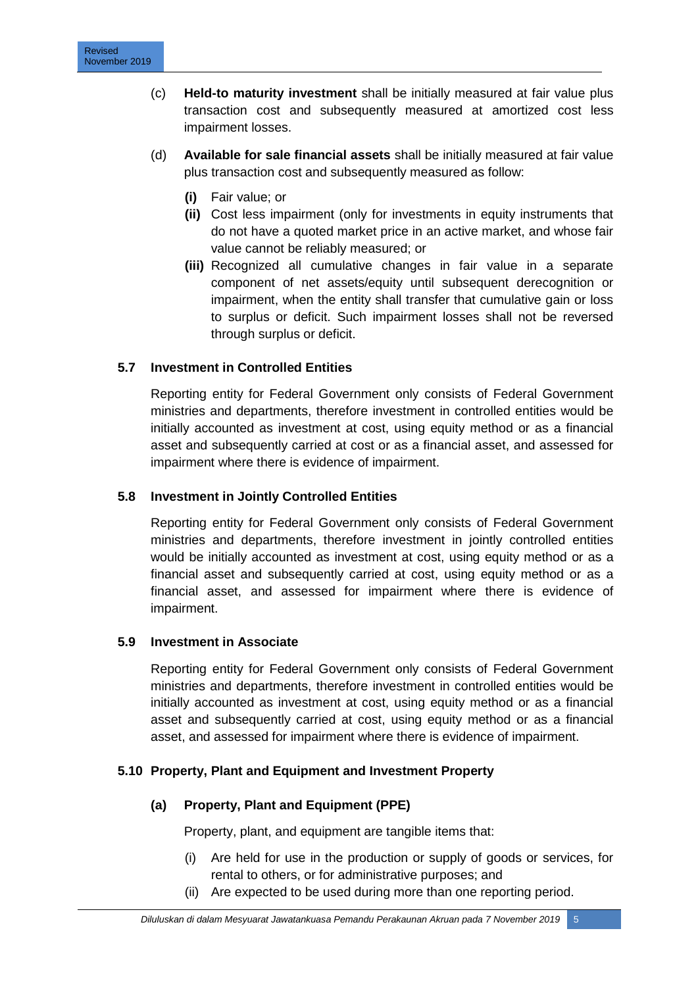- (c) **Held-to maturity investment** shall be initially measured at fair value plus transaction cost and subsequently measured at amortized cost less impairment losses.
- (d) **Available for sale financial assets** shall be initially measured at fair value plus transaction cost and subsequently measured as follow:
	- **(i)** Fair value; or
	- **(ii)** Cost less impairment (only for investments in equity instruments that do not have a quoted market price in an active market, and whose fair value cannot be reliably measured; or
	- **(iii)** Recognized all cumulative changes in fair value in a separate component of net assets/equity until subsequent derecognition or impairment, when the entity shall transfer that cumulative gain or loss to surplus or deficit. Such impairment losses shall not be reversed through surplus or deficit.

# **5.7 Investment in Controlled Entities**

Reporting entity for Federal Government only consists of Federal Government ministries and departments, therefore investment in controlled entities would be initially accounted as investment at cost, using equity method or as a financial asset and subsequently carried at cost or as a financial asset, and assessed for impairment where there is evidence of impairment.

#### **5.8 Investment in Jointly Controlled Entities**

Reporting entity for Federal Government only consists of Federal Government ministries and departments, therefore investment in jointly controlled entities would be initially accounted as investment at cost, using equity method or as a financial asset and subsequently carried at cost, using equity method or as a financial asset, and assessed for impairment where there is evidence of impairment.

#### **5.9 Investment in Associate**

Reporting entity for Federal Government only consists of Federal Government ministries and departments, therefore investment in controlled entities would be initially accounted as investment at cost, using equity method or as a financial asset and subsequently carried at cost, using equity method or as a financial asset, and assessed for impairment where there is evidence of impairment.

#### **5.10 Property, Plant and Equipment and Investment Property**

#### **(a) Property, Plant and Equipment (PPE)**

Property, plant, and equipment are tangible items that:

- (i) Are held for use in the production or supply of goods or services, for rental to others, or for administrative purposes; and
- (ii) Are expected to be used during more than one reporting period.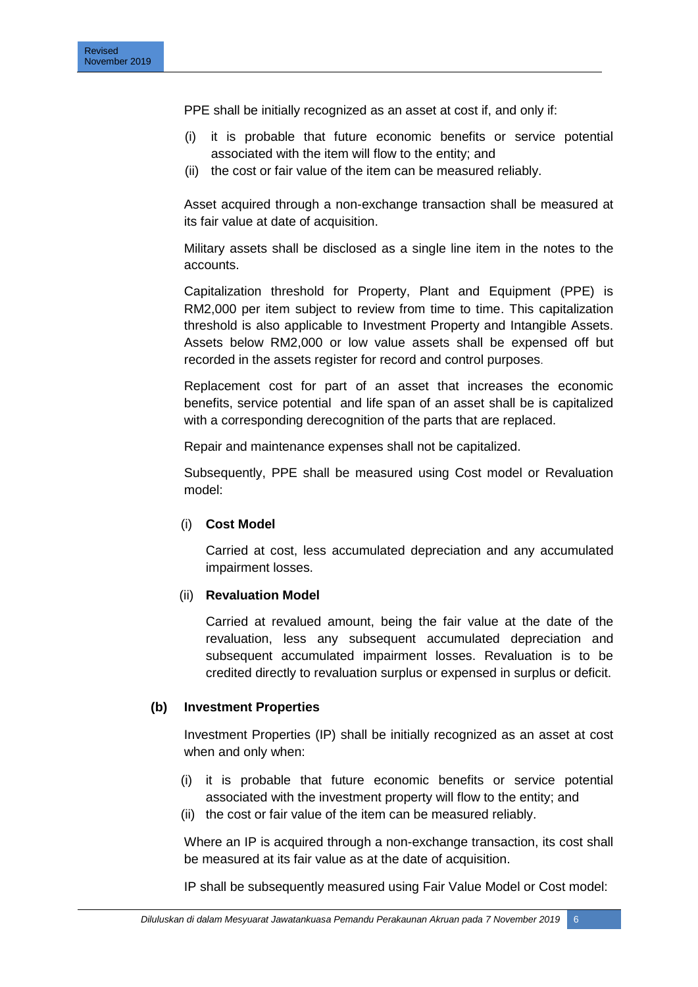PPE shall be initially recognized as an asset at cost if, and only if:

- (i) it is probable that future economic benefits or service potential associated with the item will flow to the entity; and
- (ii) the cost or fair value of the item can be measured reliably.

Asset acquired through a non-exchange transaction shall be measured at its fair value at date of acquisition.

Military assets shall be disclosed as a single line item in the notes to the accounts.

Capitalization threshold for Property, Plant and Equipment (PPE) is RM2,000 per item subject to review from time to time. This capitalization threshold is also applicable to Investment Property and Intangible Assets. Assets below RM2,000 or low value assets shall be expensed off but recorded in the assets register for record and control purposes.

Replacement cost for part of an asset that increases the economic benefits, service potential and life span of an asset shall be is capitalized with a corresponding derecognition of the parts that are replaced.

Repair and maintenance expenses shall not be capitalized.

Subsequently, PPE shall be measured using Cost model or Revaluation model:

#### (i) **Cost Model**

Carried at cost, less accumulated depreciation and any accumulated impairment losses.

#### (ii) **Revaluation Model**

Carried at revalued amount, being the fair value at the date of the revaluation, less any subsequent accumulated depreciation and subsequent accumulated impairment losses. Revaluation is to be credited directly to revaluation surplus or expensed in surplus or deficit.

#### **(b) Investment Properties**

Investment Properties (IP) shall be initially recognized as an asset at cost when and only when:

- (i) it is probable that future economic benefits or service potential associated with the investment property will flow to the entity; and
- (ii) the cost or fair value of the item can be measured reliably.

Where an IP is acquired through a non-exchange transaction, its cost shall be measured at its fair value as at the date of acquisition.

IP shall be subsequently measured using Fair Value Model or Cost model: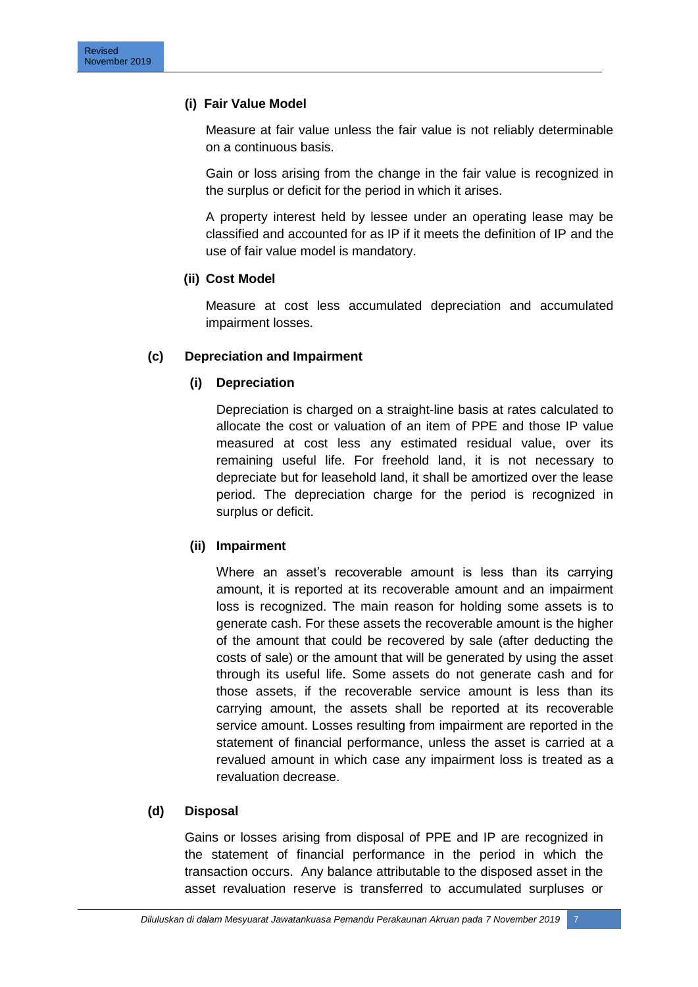# **(i) Fair Value Model**

Measure at fair value unless the fair value is not reliably determinable on a continuous basis.

Gain or loss arising from the change in the fair value is recognized in the surplus or deficit for the period in which it arises.

A property interest held by lessee under an operating lease may be classified and accounted for as IP if it meets the definition of IP and the use of fair value model is mandatory.

# **(ii) Cost Model**

Measure at cost less accumulated depreciation and accumulated impairment losses.

# **(c) Depreciation and Impairment**

# **(i) Depreciation**

Depreciation is charged on a straight-line basis at rates calculated to allocate the cost or valuation of an item of PPE and those IP value measured at cost less any estimated residual value, over its remaining useful life. For freehold land, it is not necessary to depreciate but for leasehold land, it shall be amortized over the lease period. The depreciation charge for the period is recognized in surplus or deficit.

#### **(ii) Impairment**

Where an asset's recoverable amount is less than its carrying amount, it is reported at its recoverable amount and an impairment loss is recognized. The main reason for holding some assets is to generate cash. For these assets the recoverable amount is the higher of the amount that could be recovered by sale (after deducting the costs of sale) or the amount that will be generated by using the asset through its useful life. Some assets do not generate cash and for those assets, if the recoverable service amount is less than its carrying amount, the assets shall be reported at its recoverable service amount. Losses resulting from impairment are reported in the statement of financial performance, unless the asset is carried at a revalued amount in which case any impairment loss is treated as a revaluation decrease.

#### **(d) Disposal**

Gains or losses arising from disposal of PPE and IP are recognized in the statement of financial performance in the period in which the transaction occurs. Any balance attributable to the disposed asset in the asset revaluation reserve is transferred to accumulated surpluses or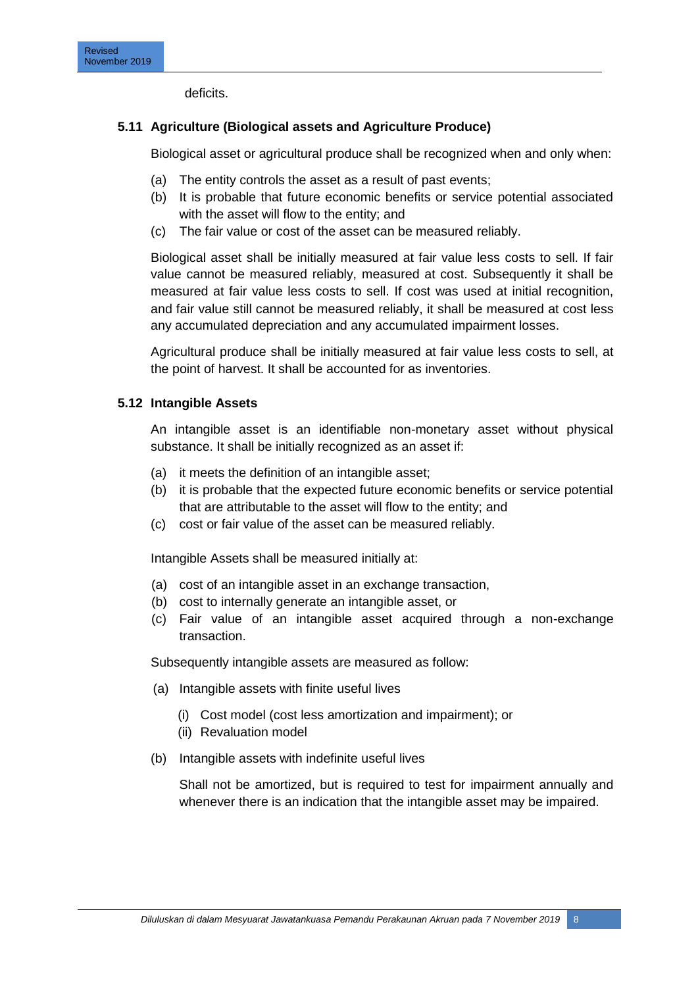deficits.

# **5.11 Agriculture (Biological assets and Agriculture Produce)**

Biological asset or agricultural produce shall be recognized when and only when:

- (a) The entity controls the asset as a result of past events;
- (b) It is probable that future economic benefits or service potential associated with the asset will flow to the entity; and
- (c) The fair value or cost of the asset can be measured reliably.

Biological asset shall be initially measured at fair value less costs to sell. If fair value cannot be measured reliably, measured at cost. Subsequently it shall be measured at fair value less costs to sell. If cost was used at initial recognition, and fair value still cannot be measured reliably, it shall be measured at cost less any accumulated depreciation and any accumulated impairment losses.

Agricultural produce shall be initially measured at fair value less costs to sell, at the point of harvest. It shall be accounted for as inventories.

# **5.12 Intangible Assets**

An intangible asset is an identifiable non-monetary asset without physical substance. It shall be initially recognized as an asset if:

- (a) it meets the definition of an intangible asset;
- (b) it is probable that the expected future economic benefits or service potential that are attributable to the asset will flow to the entity; and
- (c) cost or fair value of the asset can be measured reliably.

Intangible Assets shall be measured initially at:

- (a) cost of an intangible asset in an exchange transaction,
- (b) cost to internally generate an intangible asset, or
- (c) Fair value of an intangible asset acquired through a non-exchange transaction.

Subsequently intangible assets are measured as follow:

- (a) Intangible assets with finite useful lives
	- (i) Cost model (cost less amortization and impairment); or
	- (ii) Revaluation model
- (b) Intangible assets with indefinite useful lives

Shall not be amortized, but is required to test for impairment annually and whenever there is an indication that the intangible asset may be impaired.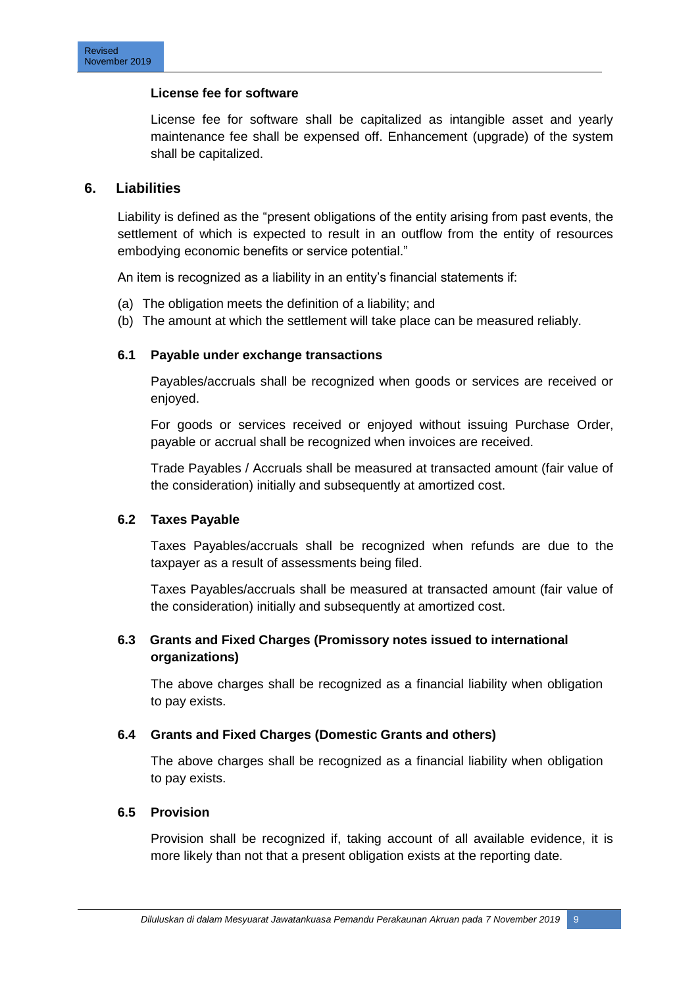#### **License fee for software**

License fee for software shall be capitalized as intangible asset and yearly maintenance fee shall be expensed off. Enhancement (upgrade) of the system shall be capitalized.

#### **6. Liabilities**

Liability is defined as the "present obligations of the entity arising from past events, the settlement of which is expected to result in an outflow from the entity of resources embodying economic benefits or service potential."

An item is recognized as a liability in an entity's financial statements if:

- (a) The obligation meets the definition of a liability; and
- (b) The amount at which the settlement will take place can be measured reliably.

#### **6.1 Payable under exchange transactions**

Payables/accruals shall be recognized when goods or services are received or enjoyed.

For goods or services received or enjoyed without issuing Purchase Order, payable or accrual shall be recognized when invoices are received.

Trade Payables / Accruals shall be measured at transacted amount (fair value of the consideration) initially and subsequently at amortized cost.

#### **6.2 Taxes Payable**

Taxes Payables/accruals shall be recognized when refunds are due to the taxpayer as a result of assessments being filed.

Taxes Payables/accruals shall be measured at transacted amount (fair value of the consideration) initially and subsequently at amortized cost.

# **6.3 Grants and Fixed Charges (Promissory notes issued to international organizations)**

The above charges shall be recognized as a financial liability when obligation to pay exists.

#### **6.4 Grants and Fixed Charges (Domestic Grants and others)**

The above charges shall be recognized as a financial liability when obligation to pay exists.

#### **6.5 Provision**

Provision shall be recognized if, taking account of all available evidence, it is more likely than not that a present obligation exists at the reporting date.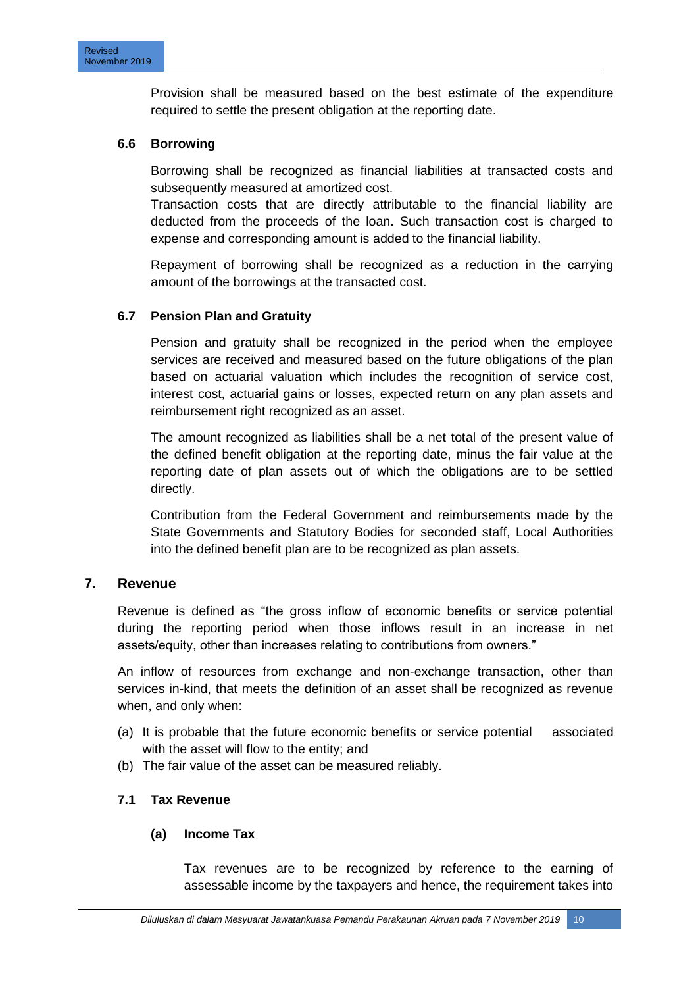Provision shall be measured based on the best estimate of the expenditure required to settle the present obligation at the reporting date.

#### **6.6 Borrowing**

Borrowing shall be recognized as financial liabilities at transacted costs and subsequently measured at amortized cost.

Transaction costs that are directly attributable to the financial liability are deducted from the proceeds of the loan. Such transaction cost is charged to expense and corresponding amount is added to the financial liability.

Repayment of borrowing shall be recognized as a reduction in the carrying amount of the borrowings at the transacted cost.

# **6.7 Pension Plan and Gratuity**

Pension and gratuity shall be recognized in the period when the employee services are received and measured based on the future obligations of the plan based on actuarial valuation which includes the recognition of service cost, interest cost, actuarial gains or losses, expected return on any plan assets and reimbursement right recognized as an asset.

The amount recognized as liabilities shall be a net total of the present value of the defined benefit obligation at the reporting date, minus the fair value at the reporting date of plan assets out of which the obligations are to be settled directly.

Contribution from the Federal Government and reimbursements made by the State Governments and Statutory Bodies for seconded staff, Local Authorities into the defined benefit plan are to be recognized as plan assets.

#### **7. Revenue**

Revenue is defined as "the gross inflow of economic benefits or service potential during the reporting period when those inflows result in an increase in net assets/equity, other than increases relating to contributions from owners."

An inflow of resources from exchange and non-exchange transaction, other than services in-kind, that meets the definition of an asset shall be recognized as revenue when, and only when:

- (a) It is probable that the future economic benefits or service potential associated with the asset will flow to the entity; and
- (b) The fair value of the asset can be measured reliably.

#### **7.1 Tax Revenue**

#### **(a) Income Tax**

Tax revenues are to be recognized by reference to the earning of assessable income by the taxpayers and hence, the requirement takes into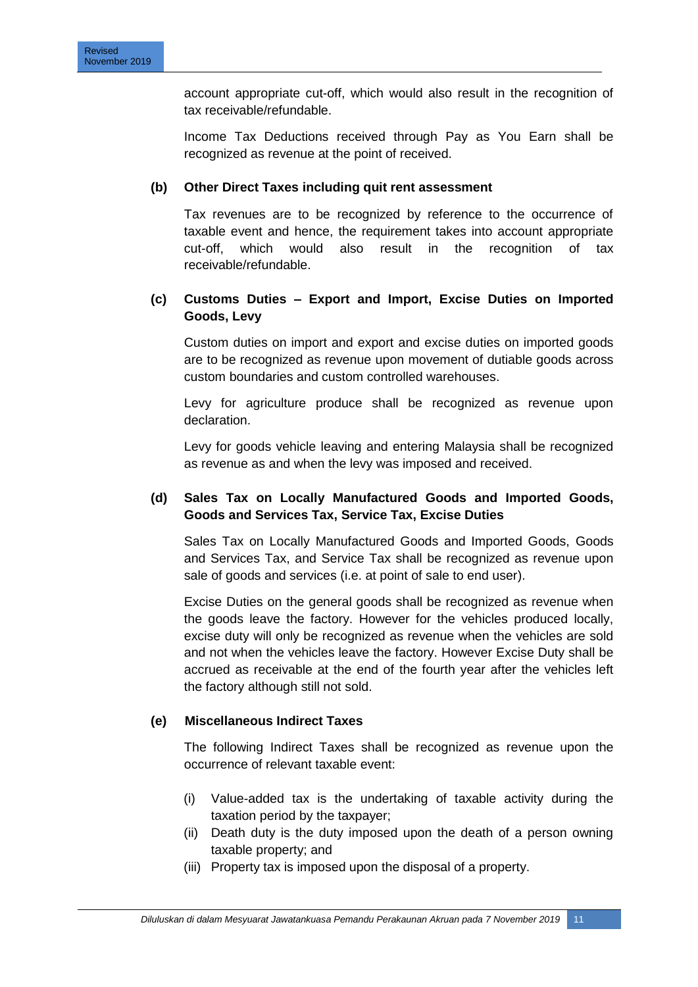account appropriate cut-off, which would also result in the recognition of tax receivable/refundable.

Income Tax Deductions received through Pay as You Earn shall be recognized as revenue at the point of received.

# **(b) Other Direct Taxes including quit rent assessment**

Tax revenues are to be recognized by reference to the occurrence of taxable event and hence, the requirement takes into account appropriate cut-off, which would also result in the recognition of tax receivable/refundable.

# **(c) Customs Duties – Export and Import, Excise Duties on Imported Goods, Levy**

Custom duties on import and export and excise duties on imported goods are to be recognized as revenue upon movement of dutiable goods across custom boundaries and custom controlled warehouses.

Levy for agriculture produce shall be recognized as revenue upon declaration.

Levy for goods vehicle leaving and entering Malaysia shall be recognized as revenue as and when the levy was imposed and received.

# **(d) Sales Tax on Locally Manufactured Goods and Imported Goods, Goods and Services Tax, Service Tax, Excise Duties**

Sales Tax on Locally Manufactured Goods and Imported Goods, Goods and Services Tax, and Service Tax shall be recognized as revenue upon sale of goods and services (i.e. at point of sale to end user).

Excise Duties on the general goods shall be recognized as revenue when the goods leave the factory. However for the vehicles produced locally, excise duty will only be recognized as revenue when the vehicles are sold and not when the vehicles leave the factory. However Excise Duty shall be accrued as receivable at the end of the fourth year after the vehicles left the factory although still not sold.

#### **(e) Miscellaneous Indirect Taxes**

The following Indirect Taxes shall be recognized as revenue upon the occurrence of relevant taxable event:

- (i) Value-added tax is the undertaking of taxable activity during the taxation period by the taxpayer;
- (ii) Death duty is the duty imposed upon the death of a person owning taxable property; and
- (iii) Property tax is imposed upon the disposal of a property.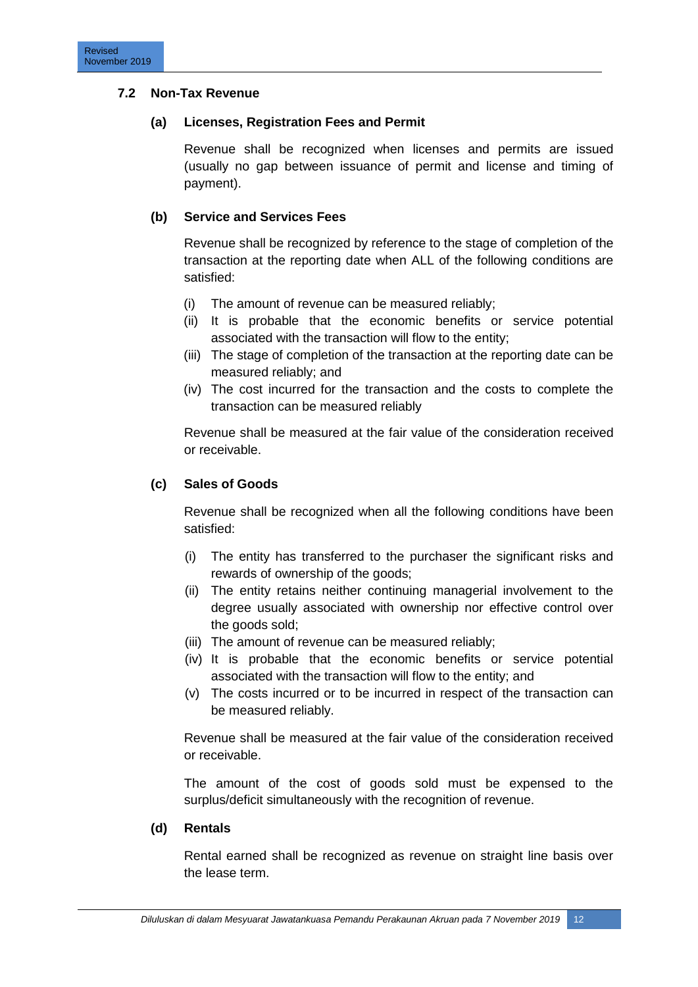# **7.2 Non-Tax Revenue**

#### **(a) Licenses, Registration Fees and Permit**

Revenue shall be recognized when licenses and permits are issued (usually no gap between issuance of permit and license and timing of payment).

# **(b) Service and Services Fees**

Revenue shall be recognized by reference to the stage of completion of the transaction at the reporting date when ALL of the following conditions are satisfied:

- (i) The amount of revenue can be measured reliably;
- (ii) It is probable that the economic benefits or service potential associated with the transaction will flow to the entity;
- (iii) The stage of completion of the transaction at the reporting date can be measured reliably; and
- (iv) The cost incurred for the transaction and the costs to complete the transaction can be measured reliably

Revenue shall be measured at the fair value of the consideration received or receivable.

# **(c) Sales of Goods**

Revenue shall be recognized when all the following conditions have been satisfied:

- (i) The entity has transferred to the purchaser the significant risks and rewards of ownership of the goods;
- (ii) The entity retains neither continuing managerial involvement to the degree usually associated with ownership nor effective control over the goods sold;
- (iii) The amount of revenue can be measured reliably;
- (iv) It is probable that the economic benefits or service potential associated with the transaction will flow to the entity; and
- (v) The costs incurred or to be incurred in respect of the transaction can be measured reliably.

Revenue shall be measured at the fair value of the consideration received or receivable.

The amount of the cost of goods sold must be expensed to the surplus/deficit simultaneously with the recognition of revenue.

#### **(d) Rentals**

Rental earned shall be recognized as revenue on straight line basis over the lease term.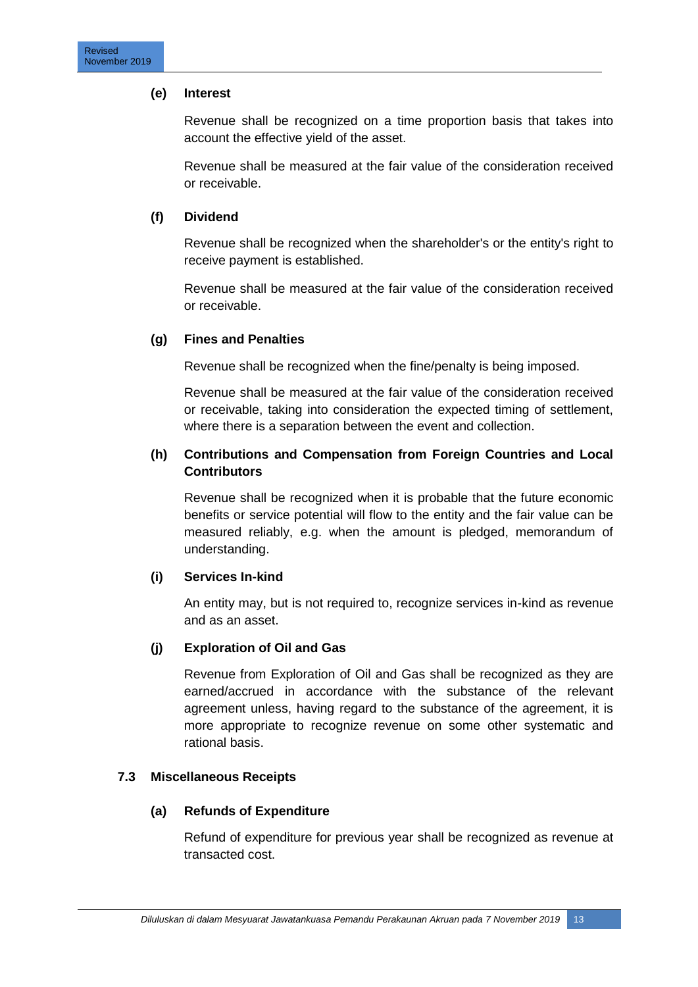# **(e) Interest**

Revenue shall be recognized on a time proportion basis that takes into account the effective yield of the asset.

Revenue shall be measured at the fair value of the consideration received or receivable.

# **(f) Dividend**

Revenue shall be recognized when the shareholder's or the entity's right to receive payment is established.

Revenue shall be measured at the fair value of the consideration received or receivable.

# **(g) Fines and Penalties**

Revenue shall be recognized when the fine/penalty is being imposed.

Revenue shall be measured at the fair value of the consideration received or receivable, taking into consideration the expected timing of settlement, where there is a separation between the event and collection.

# **(h) Contributions and Compensation from Foreign Countries and Local Contributors**

Revenue shall be recognized when it is probable that the future economic benefits or service potential will flow to the entity and the fair value can be measured reliably, e.g. when the amount is pledged, memorandum of understanding.

#### **(i) Services In-kind**

An entity may, but is not required to, recognize services in-kind as revenue and as an asset.

# **(j) Exploration of Oil and Gas**

Revenue from Exploration of Oil and Gas shall be recognized as they are earned/accrued in accordance with the substance of the relevant agreement unless, having regard to the substance of the agreement, it is more appropriate to recognize revenue on some other systematic and rational basis.

# **7.3 Miscellaneous Receipts**

#### **(a) Refunds of Expenditure**

Refund of expenditure for previous year shall be recognized as revenue at transacted cost.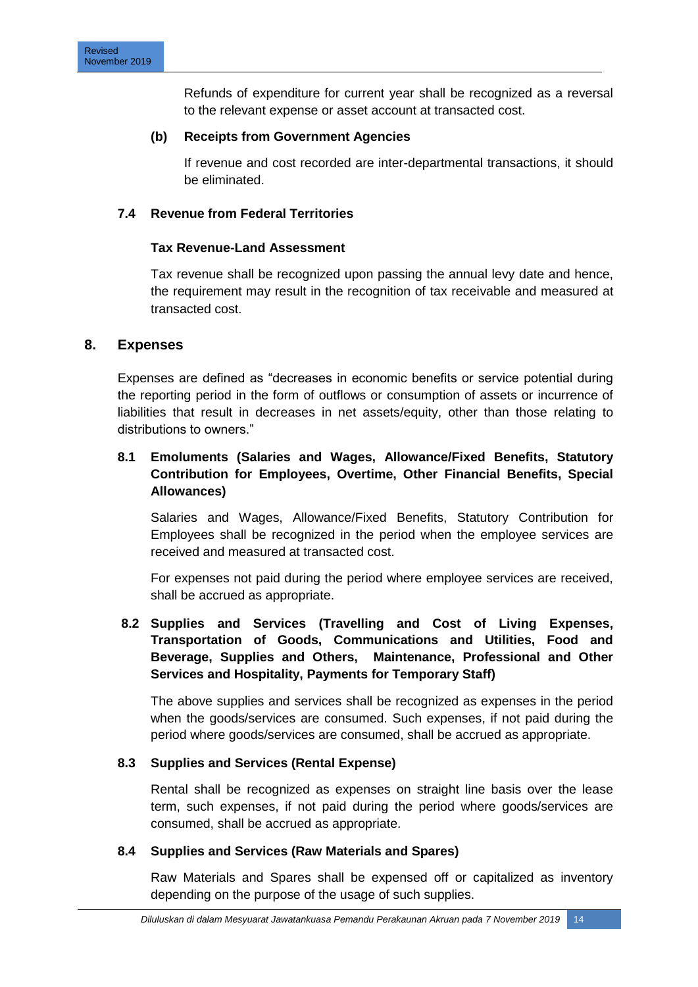Refunds of expenditure for current year shall be recognized as a reversal to the relevant expense or asset account at transacted cost.

#### **(b) Receipts from Government Agencies**

If revenue and cost recorded are inter-departmental transactions, it should be eliminated.

# **7.4 Revenue from Federal Territories**

#### **Tax Revenue-Land Assessment**

Tax revenue shall be recognized upon passing the annual levy date and hence, the requirement may result in the recognition of tax receivable and measured at transacted cost.

# **8. Expenses**

Expenses are defined as "decreases in economic benefits or service potential during the reporting period in the form of outflows or consumption of assets or incurrence of liabilities that result in decreases in net assets/equity, other than those relating to distributions to owners."

# **8.1 Emoluments (Salaries and Wages, Allowance/Fixed Benefits, Statutory Contribution for Employees, Overtime, Other Financial Benefits, Special Allowances)**

Salaries and Wages, Allowance/Fixed Benefits, Statutory Contribution for Employees shall be recognized in the period when the employee services are received and measured at transacted cost.

For expenses not paid during the period where employee services are received, shall be accrued as appropriate.

# **8.2 Supplies and Services (Travelling and Cost of Living Expenses, Transportation of Goods, Communications and Utilities, Food and Beverage, Supplies and Others, Maintenance, Professional and Other Services and Hospitality, Payments for Temporary Staff)**

The above supplies and services shall be recognized as expenses in the period when the goods/services are consumed. Such expenses, if not paid during the period where goods/services are consumed, shall be accrued as appropriate.

#### **8.3 Supplies and Services (Rental Expense)**

Rental shall be recognized as expenses on straight line basis over the lease term, such expenses, if not paid during the period where goods/services are consumed, shall be accrued as appropriate.

# **8.4 Supplies and Services (Raw Materials and Spares)**

Raw Materials and Spares shall be expensed off or capitalized as inventory depending on the purpose of the usage of such supplies.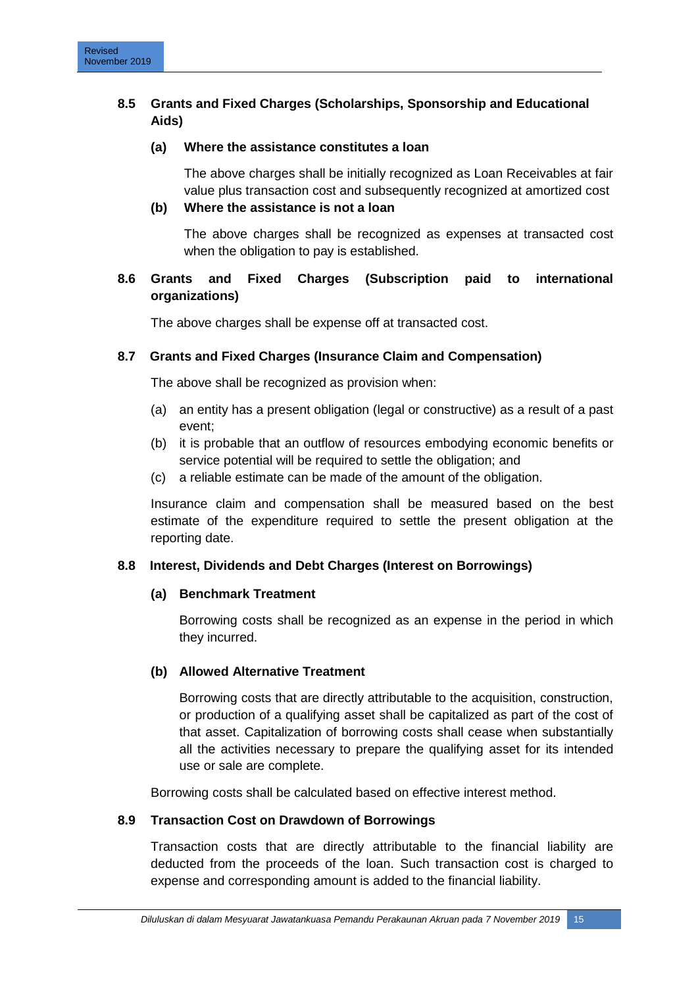# **8.5 Grants and Fixed Charges (Scholarships, Sponsorship and Educational Aids)**

# **(a) Where the assistance constitutes a loan**

The above charges shall be initially recognized as Loan Receivables at fair value plus transaction cost and subsequently recognized at amortized cost

# **(b) Where the assistance is not a loan**

The above charges shall be recognized as expenses at transacted cost when the obligation to pay is established.

# **8.6 Grants and Fixed Charges (Subscription paid to international organizations)**

The above charges shall be expense off at transacted cost.

# **8.7 Grants and Fixed Charges (Insurance Claim and Compensation)**

The above shall be recognized as provision when:

- (a) an entity has a present obligation (legal or constructive) as a result of a past event;
- (b) it is probable that an outflow of resources embodying economic benefits or service potential will be required to settle the obligation; and
- (c) a reliable estimate can be made of the amount of the obligation.

Insurance claim and compensation shall be measured based on the best estimate of the expenditure required to settle the present obligation at the reporting date.

# **8.8 Interest, Dividends and Debt Charges (Interest on Borrowings)**

#### **(a) Benchmark Treatment**

Borrowing costs shall be recognized as an expense in the period in which they incurred.

#### **(b) Allowed Alternative Treatment**

Borrowing costs that are directly attributable to the acquisition, construction, or production of a qualifying asset shall be capitalized as part of the cost of that asset. Capitalization of borrowing costs shall cease when substantially all the activities necessary to prepare the qualifying asset for its intended use or sale are complete.

Borrowing costs shall be calculated based on effective interest method.

#### **8.9 Transaction Cost on Drawdown of Borrowings**

Transaction costs that are directly attributable to the financial liability are deducted from the proceeds of the loan. Such transaction cost is charged to expense and corresponding amount is added to the financial liability.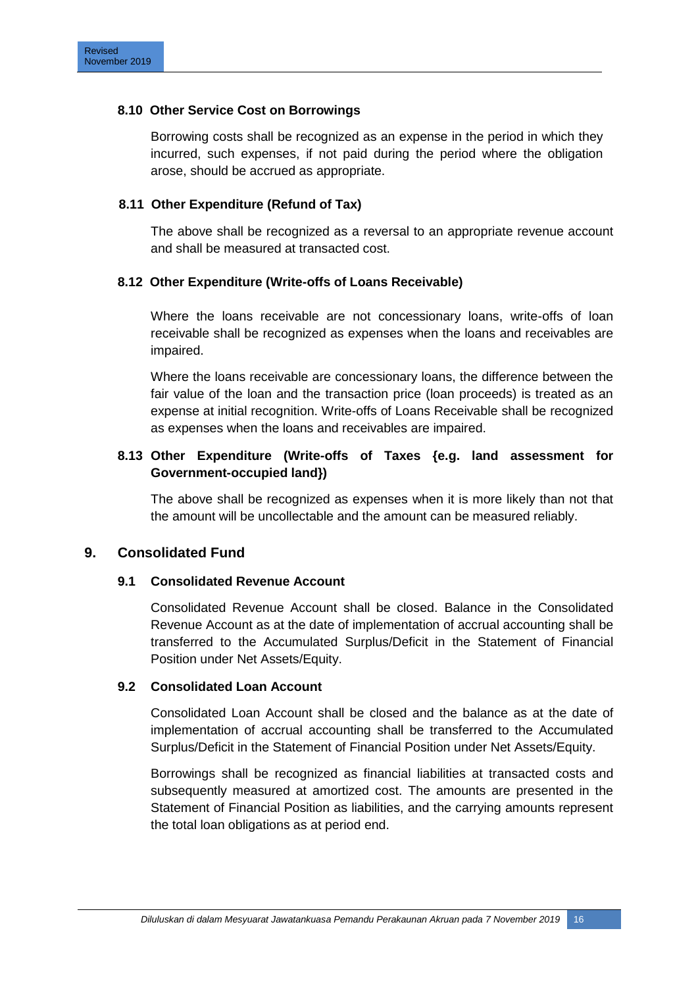#### **8.10 Other Service Cost on Borrowings**

Borrowing costs shall be recognized as an expense in the period in which they incurred, such expenses, if not paid during the period where the obligation arose, should be accrued as appropriate.

# **8.11 Other Expenditure (Refund of Tax)**

The above shall be recognized as a reversal to an appropriate revenue account and shall be measured at transacted cost.

# **8.12 Other Expenditure (Write-offs of Loans Receivable)**

Where the loans receivable are not concessionary loans, write-offs of loan receivable shall be recognized as expenses when the loans and receivables are impaired.

Where the loans receivable are concessionary loans, the difference between the fair value of the loan and the transaction price (loan proceeds) is treated as an expense at initial recognition. Write-offs of Loans Receivable shall be recognized as expenses when the loans and receivables are impaired.

# **8.13 Other Expenditure (Write-offs of Taxes {e.g. land assessment for Government-occupied land})**

The above shall be recognized as expenses when it is more likely than not that the amount will be uncollectable and the amount can be measured reliably.

# **9. Consolidated Fund**

#### **9.1 Consolidated Revenue Account**

Consolidated Revenue Account shall be closed. Balance in the Consolidated Revenue Account as at the date of implementation of accrual accounting shall be transferred to the Accumulated Surplus/Deficit in the Statement of Financial Position under Net Assets/Equity.

#### **9.2 Consolidated Loan Account**

Consolidated Loan Account shall be closed and the balance as at the date of implementation of accrual accounting shall be transferred to the Accumulated Surplus/Deficit in the Statement of Financial Position under Net Assets/Equity.

Borrowings shall be recognized as financial liabilities at transacted costs and subsequently measured at amortized cost. The amounts are presented in the Statement of Financial Position as liabilities, and the carrying amounts represent the total loan obligations as at period end.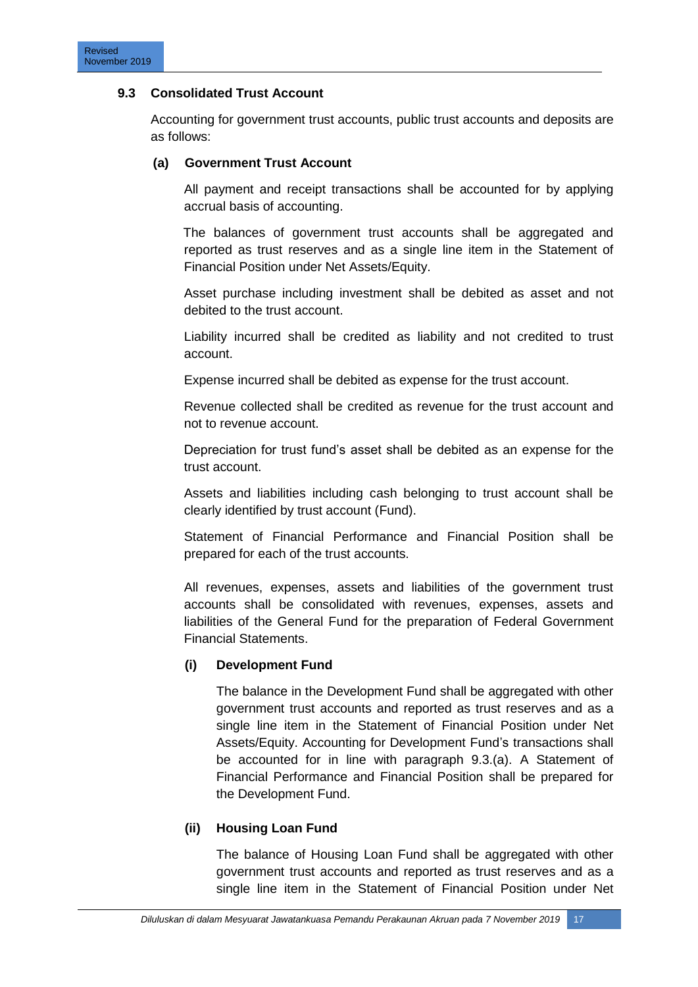# **9.3 Consolidated Trust Account**

Accounting for government trust accounts, public trust accounts and deposits are as follows:

#### **(a) Government Trust Account**

All payment and receipt transactions shall be accounted for by applying accrual basis of accounting.

The balances of government trust accounts shall be aggregated and reported as trust reserves and as a single line item in the Statement of Financial Position under Net Assets/Equity.

Asset purchase including investment shall be debited as asset and not debited to the trust account.

Liability incurred shall be credited as liability and not credited to trust account.

Expense incurred shall be debited as expense for the trust account.

Revenue collected shall be credited as revenue for the trust account and not to revenue account.

Depreciation for trust fund"s asset shall be debited as an expense for the trust account.

Assets and liabilities including cash belonging to trust account shall be clearly identified by trust account (Fund).

Statement of Financial Performance and Financial Position shall be prepared for each of the trust accounts.

All revenues, expenses, assets and liabilities of the government trust accounts shall be consolidated with revenues, expenses, assets and liabilities of the General Fund for the preparation of Federal Government Financial Statements.

# **(i) Development Fund**

The balance in the Development Fund shall be aggregated with other government trust accounts and reported as trust reserves and as a single line item in the Statement of Financial Position under Net Assets/Equity. Accounting for Development Fund"s transactions shall be accounted for in line with paragraph 9.3.(a). A Statement of Financial Performance and Financial Position shall be prepared for the Development Fund.

# **(ii) Housing Loan Fund**

The balance of Housing Loan Fund shall be aggregated with other government trust accounts and reported as trust reserves and as a single line item in the Statement of Financial Position under Net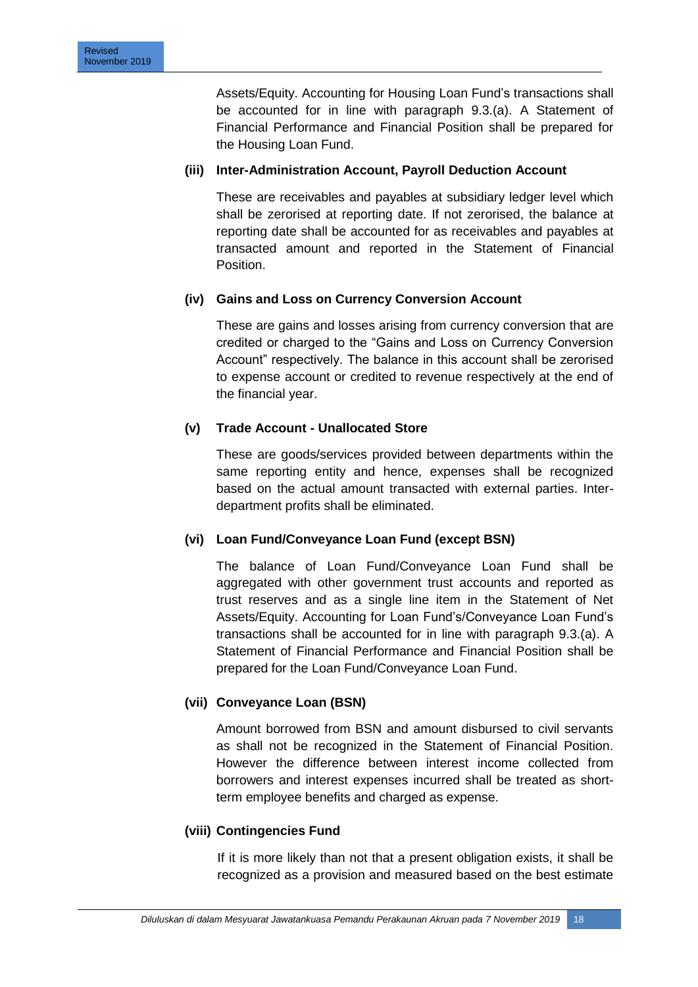Assets/Equity. Accounting for Housing Loan Fund"s transactions shall be accounted for in line with paragraph 9.3.(a). A Statement of Financial Performance and Financial Position shall be prepared for the Housing Loan Fund.

# **(iii) Inter-Administration Account, Payroll Deduction Account**

These are receivables and payables at subsidiary ledger level which shall be zerorised at reporting date. If not zerorised, the balance at reporting date shall be accounted for as receivables and payables at transacted amount and reported in the Statement of Financial Position.

# **(iv) Gains and Loss on Currency Conversion Account**

These are gains and losses arising from currency conversion that are credited or charged to the "Gains and Loss on Currency Conversion Account" respectively. The balance in this account shall be zerorised to expense account or credited to revenue respectively at the end of the financial year.

# **(v) Trade Account - Unallocated Store**

These are goods/services provided between departments within the same reporting entity and hence, expenses shall be recognized based on the actual amount transacted with external parties. Interdepartment profits shall be eliminated.

#### **(vi) Loan Fund/Conveyance Loan Fund (except BSN)**

The balance of Loan Fund/Conveyance Loan Fund shall be aggregated with other government trust accounts and reported as trust reserves and as a single line item in the Statement of Net Assets/Equity. Accounting for Loan Fund"s/Conveyance Loan Fund"s transactions shall be accounted for in line with paragraph 9.3.(a). A Statement of Financial Performance and Financial Position shall be prepared for the Loan Fund/Conveyance Loan Fund.

# **(vii) Conveyance Loan (BSN)**

Amount borrowed from BSN and amount disbursed to civil servants as shall not be recognized in the Statement of Financial Position. However the difference between interest income collected from borrowers and interest expenses incurred shall be treated as shortterm employee benefits and charged as expense.

#### **(viii) Contingencies Fund**

If it is more likely than not that a present obligation exists, it shall be recognized as a provision and measured based on the best estimate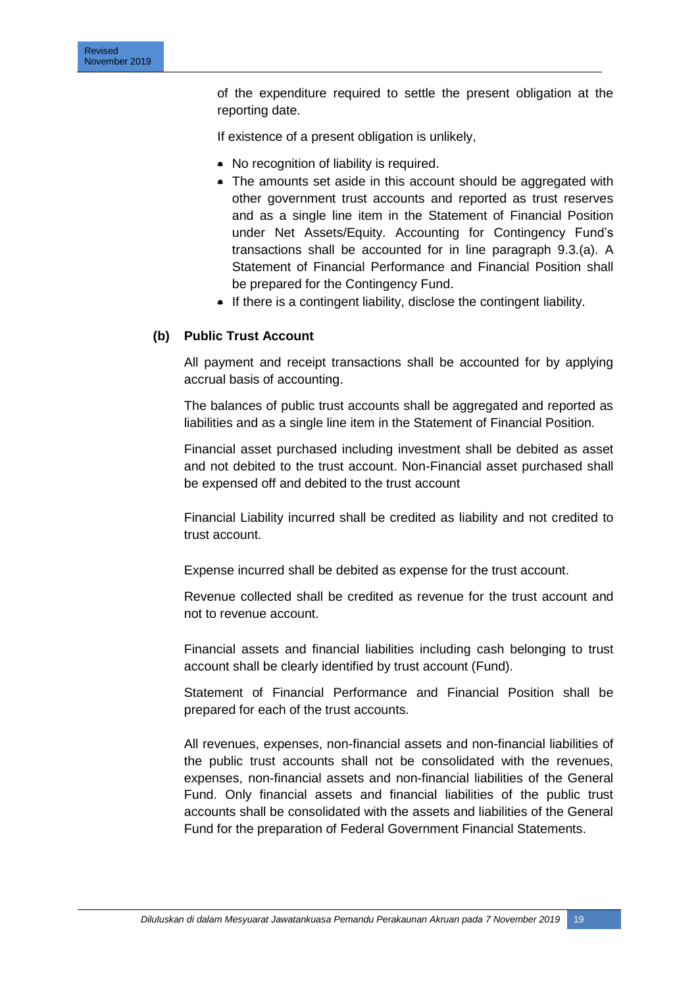of the expenditure required to settle the present obligation at the reporting date.

If existence of a present obligation is unlikely,

- No recognition of liability is required.
- The amounts set aside in this account should be aggregated with other government trust accounts and reported as trust reserves and as a single line item in the Statement of Financial Position under Net Assets/Equity. Accounting for Contingency Fund"s transactions shall be accounted for in line paragraph 9.3.(a). A Statement of Financial Performance and Financial Position shall be prepared for the Contingency Fund.
- $\bullet$  If there is a contingent liability, disclose the contingent liability.

#### **(b) Public Trust Account**

All payment and receipt transactions shall be accounted for by applying accrual basis of accounting.

The balances of public trust accounts shall be aggregated and reported as liabilities and as a single line item in the Statement of Financial Position.

Financial asset purchased including investment shall be debited as asset and not debited to the trust account. Non-Financial asset purchased shall be expensed off and debited to the trust account

Financial Liability incurred shall be credited as liability and not credited to trust account.

Expense incurred shall be debited as expense for the trust account.

Revenue collected shall be credited as revenue for the trust account and not to revenue account.

Financial assets and financial liabilities including cash belonging to trust account shall be clearly identified by trust account (Fund).

Statement of Financial Performance and Financial Position shall be prepared for each of the trust accounts.

All revenues, expenses, non-financial assets and non-financial liabilities of the public trust accounts shall not be consolidated with the revenues, expenses, non-financial assets and non-financial liabilities of the General Fund. Only financial assets and financial liabilities of the public trust accounts shall be consolidated with the assets and liabilities of the General Fund for the preparation of Federal Government Financial Statements.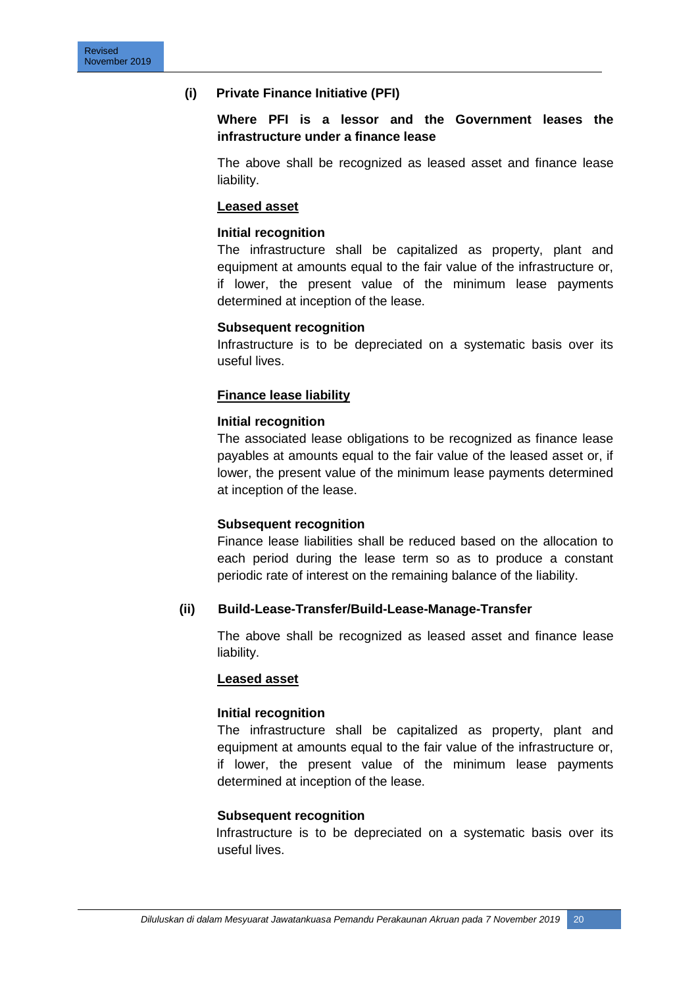#### **(i) Private Finance Initiative (PFI)**

#### **Where PFI is a lessor and the Government leases the infrastructure under a finance lease**

The above shall be recognized as leased asset and finance lease liability.

#### **Leased asset**

#### **Initial recognition**

The infrastructure shall be capitalized as property, plant and equipment at amounts equal to the fair value of the infrastructure or, if lower, the present value of the minimum lease payments determined at inception of the lease.

#### **Subsequent recognition**

Infrastructure is to be depreciated on a systematic basis over its useful lives.

#### **Finance lease liability**

#### **Initial recognition**

The associated lease obligations to be recognized as finance lease payables at amounts equal to the fair value of the leased asset or, if lower, the present value of the minimum lease payments determined at inception of the lease.

#### **Subsequent recognition**

Finance lease liabilities shall be reduced based on the allocation to each period during the lease term so as to produce a constant periodic rate of interest on the remaining balance of the liability.

#### **(ii) Build-Lease-Transfer/Build-Lease-Manage-Transfer**

The above shall be recognized as leased asset and finance lease liability.

#### **Leased asset**

#### **Initial recognition**

The infrastructure shall be capitalized as property, plant and equipment at amounts equal to the fair value of the infrastructure or, if lower, the present value of the minimum lease payments determined at inception of the lease.

#### **Subsequent recognition**

 Infrastructure is to be depreciated on a systematic basis over its useful lives.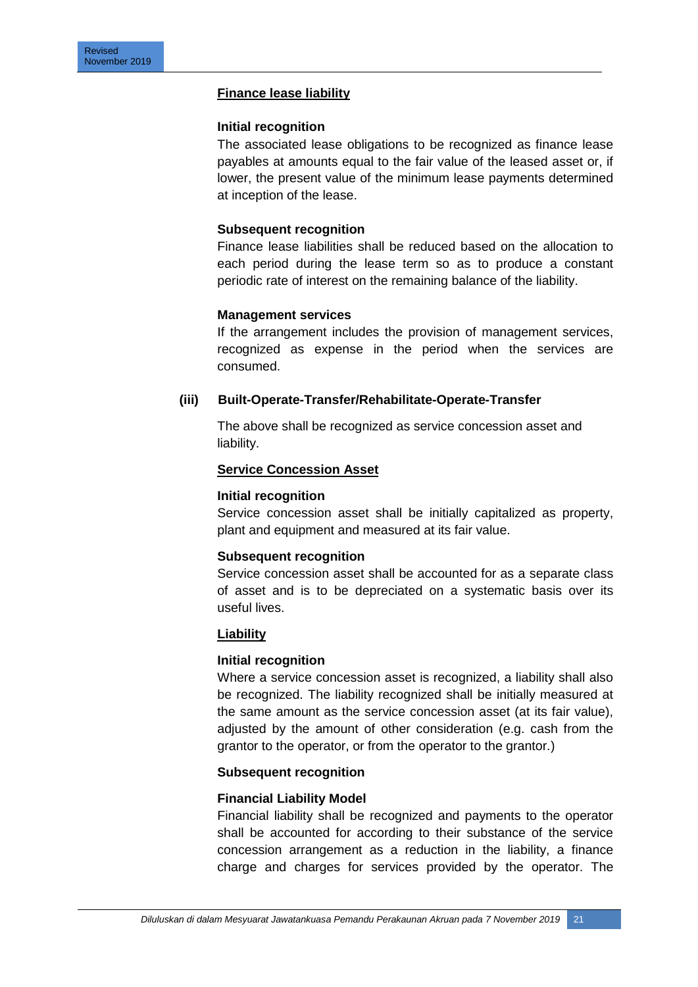#### **Finance lease liability**

#### **Initial recognition**

The associated lease obligations to be recognized as finance lease payables at amounts equal to the fair value of the leased asset or, if lower, the present value of the minimum lease payments determined at inception of the lease.

#### **Subsequent recognition**

Finance lease liabilities shall be reduced based on the allocation to each period during the lease term so as to produce a constant periodic rate of interest on the remaining balance of the liability.

#### **Management services**

If the arrangement includes the provision of management services, recognized as expense in the period when the services are consumed.

# **(iii) Built-Operate-Transfer/Rehabilitate-Operate-Transfer**

The above shall be recognized as service concession asset and liability.

#### **Service Concession Asset**

#### **Initial recognition**

Service concession asset shall be initially capitalized as property, plant and equipment and measured at its fair value.

#### **Subsequent recognition**

Service concession asset shall be accounted for as a separate class of asset and is to be depreciated on a systematic basis over its useful lives.

#### **Liability**

#### **Initial recognition**

Where a service concession asset is recognized, a liability shall also be recognized. The liability recognized shall be initially measured at the same amount as the service concession asset (at its fair value), adjusted by the amount of other consideration (e.g. cash from the grantor to the operator, or from the operator to the grantor.)

#### **Subsequent recognition**

#### **Financial Liability Model**

Financial liability shall be recognized and payments to the operator shall be accounted for according to their substance of the service concession arrangement as a reduction in the liability, a finance charge and charges for services provided by the operator. The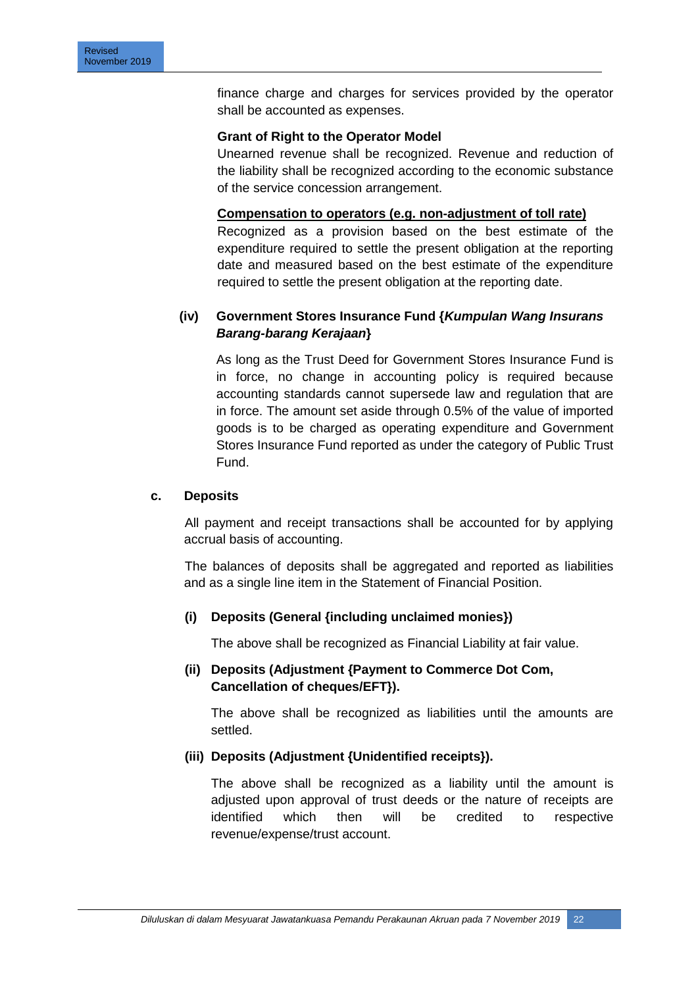finance charge and charges for services provided by the operator shall be accounted as expenses.

#### **Grant of Right to the Operator Model**

Unearned revenue shall be recognized. Revenue and reduction of the liability shall be recognized according to the economic substance of the service concession arrangement.

#### **Compensation to operators (e.g. non-adjustment of toll rate)**

Recognized as a provision based on the best estimate of the expenditure required to settle the present obligation at the reporting date and measured based on the best estimate of the expenditure required to settle the present obligation at the reporting date.

# **(iv) Government Stores Insurance Fund {***Kumpulan Wang Insurans* *Barang-barang Kerajaan***}**

As long as the Trust Deed for Government Stores Insurance Fund is in force, no change in accounting policy is required because accounting standards cannot supersede law and regulation that are in force. The amount set aside through 0.5% of the value of imported goods is to be charged as operating expenditure and Government Stores Insurance Fund reported as under the category of Public Trust Fund.

#### **c. Deposits**

All payment and receipt transactions shall be accounted for by applying accrual basis of accounting.

The balances of deposits shall be aggregated and reported as liabilities and as a single line item in the Statement of Financial Position.

#### **(i) Deposits (General {including unclaimed monies})**

The above shall be recognized as Financial Liability at fair value.

# **(ii) Deposits (Adjustment {Payment to Commerce Dot Com, Cancellation of cheques/EFT}).**

The above shall be recognized as liabilities until the amounts are settled.

#### **(iii) Deposits (Adjustment {Unidentified receipts}).**

The above shall be recognized as a liability until the amount is adjusted upon approval of trust deeds or the nature of receipts are identified which then will be credited to respective revenue/expense/trust account.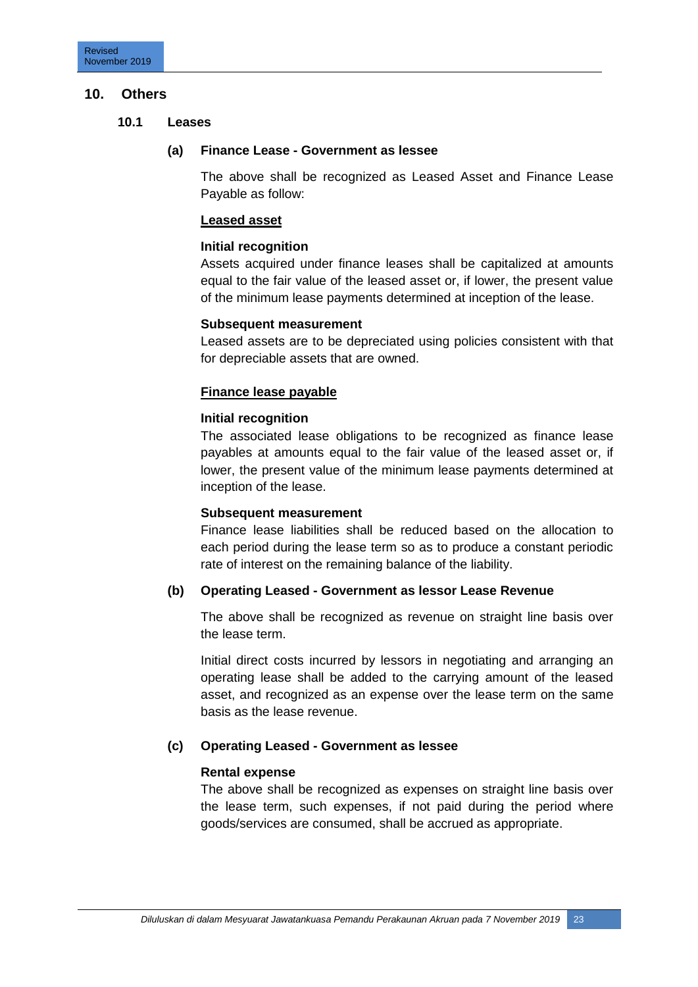#### **10. Others**

#### **10.1 Leases**

#### **(a) Finance Lease - Government as lessee**

The above shall be recognized as Leased Asset and Finance Lease Payable as follow:

#### **Leased asset**

#### **Initial recognition**

Assets acquired under finance leases shall be capitalized at amounts equal to the fair value of the leased asset or, if lower, the present value of the minimum lease payments determined at inception of the lease.

#### **Subsequent measurement**

Leased assets are to be depreciated using policies consistent with that for depreciable assets that are owned.

#### **Finance lease payable**

#### **Initial recognition**

The associated lease obligations to be recognized as finance lease payables at amounts equal to the fair value of the leased asset or, if lower, the present value of the minimum lease payments determined at inception of the lease.

#### **Subsequent measurement**

Finance lease liabilities shall be reduced based on the allocation to each period during the lease term so as to produce a constant periodic rate of interest on the remaining balance of the liability.

#### **(b) Operating Leased - Government as lessor Lease Revenue**

The above shall be recognized as revenue on straight line basis over the lease term.

Initial direct costs incurred by lessors in negotiating and arranging an operating lease shall be added to the carrying amount of the leased asset, and recognized as an expense over the lease term on the same basis as the lease revenue.

#### **(c) Operating Leased - Government as lessee**

#### **Rental expense**

The above shall be recognized as expenses on straight line basis over the lease term, such expenses, if not paid during the period where goods/services are consumed, shall be accrued as appropriate.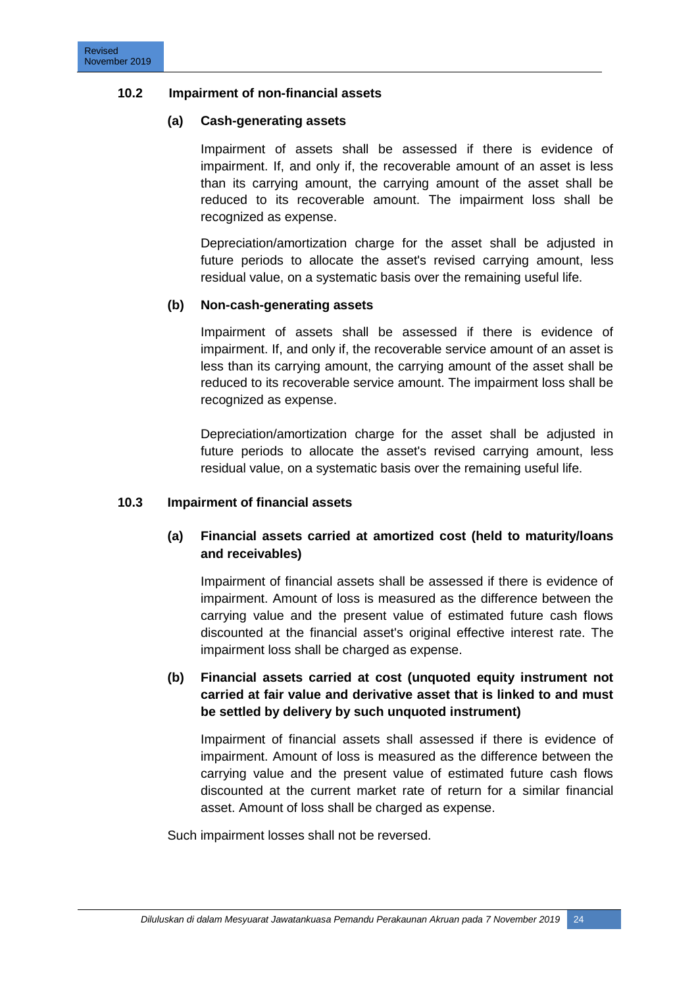#### **10.2 Impairment of non-financial assets**

#### **(a) Cash-generating assets**

Impairment of assets shall be assessed if there is evidence of impairment. If, and only if, the recoverable amount of an asset is less than its carrying amount, the carrying amount of the asset shall be reduced to its recoverable amount. The impairment loss shall be recognized as expense.

Depreciation/amortization charge for the asset shall be adjusted in future periods to allocate the asset's revised carrying amount, less residual value, on a systematic basis over the remaining useful life.

#### **(b) Non-cash-generating assets**

Impairment of assets shall be assessed if there is evidence of impairment. If, and only if, the recoverable service amount of an asset is less than its carrying amount, the carrying amount of the asset shall be reduced to its recoverable service amount. The impairment loss shall be recognized as expense.

Depreciation/amortization charge for the asset shall be adjusted in future periods to allocate the asset's revised carrying amount, less residual value, on a systematic basis over the remaining useful life.

#### **10.3 Impairment of financial assets**

# **(a) Financial assets carried at amortized cost (held to maturity/loans and receivables)**

Impairment of financial assets shall be assessed if there is evidence of impairment. Amount of loss is measured as the difference between the carrying value and the present value of estimated future cash flows discounted at the financial asset's original effective interest rate. The impairment loss shall be charged as expense.

# **(b) Financial assets carried at cost (unquoted equity instrument not carried at fair value and derivative asset that is linked to and must be settled by delivery by such unquoted instrument)**

Impairment of financial assets shall assessed if there is evidence of impairment. Amount of loss is measured as the difference between the carrying value and the present value of estimated future cash flows discounted at the current market rate of return for a similar financial asset. Amount of loss shall be charged as expense.

Such impairment losses shall not be reversed.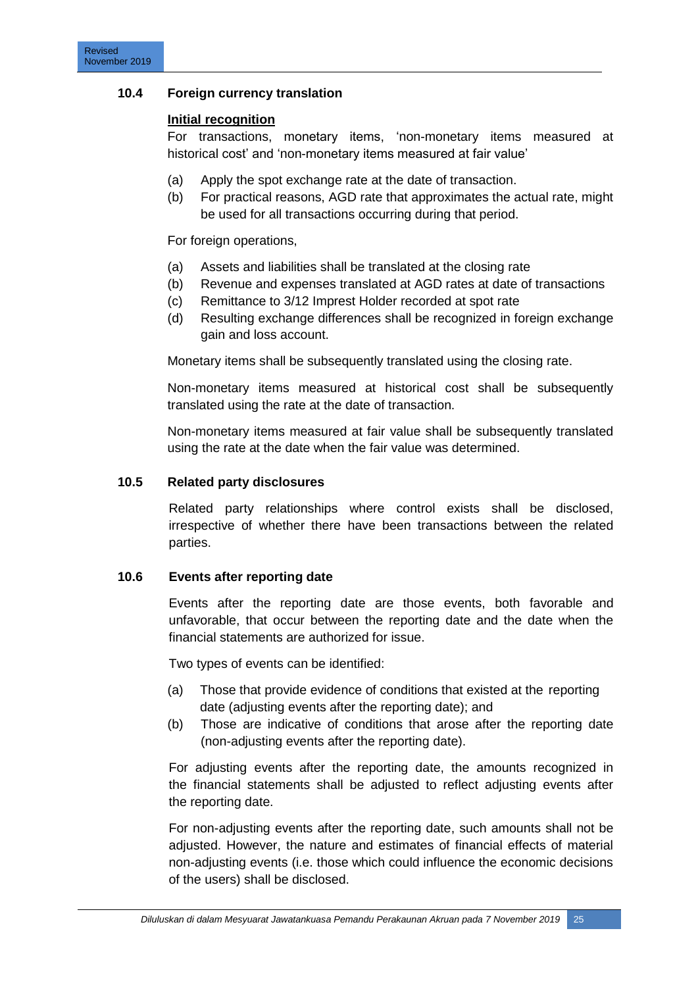# **10.4 Foreign currency translation**

#### **Initial recognition**

For transactions, monetary items, "non-monetary items measured at historical cost' and 'non-monetary items measured at fair value'

- (a) Apply the spot exchange rate at the date of transaction.
- (b) For practical reasons, AGD rate that approximates the actual rate, might be used for all transactions occurring during that period.

For foreign operations,

- (a) Assets and liabilities shall be translated at the closing rate
- (b) Revenue and expenses translated at AGD rates at date of transactions
- (c) Remittance to 3/12 Imprest Holder recorded at spot rate
- (d) Resulting exchange differences shall be recognized in foreign exchange gain and loss account.

Monetary items shall be subsequently translated using the closing rate.

Non-monetary items measured at historical cost shall be subsequently translated using the rate at the date of transaction.

Non-monetary items measured at fair value shall be subsequently translated using the rate at the date when the fair value was determined.

#### **10.5 Related party disclosures**

Related party relationships where control exists shall be disclosed, irrespective of whether there have been transactions between the related parties.

#### **10.6 Events after reporting date**

Events after the reporting date are those events, both favorable and unfavorable, that occur between the reporting date and the date when the financial statements are authorized for issue.

Two types of events can be identified:

- (a) Those that provide evidence of conditions that existed at the reporting date (adjusting events after the reporting date); and
- (b) Those are indicative of conditions that arose after the reporting date (non-adjusting events after the reporting date).

For adjusting events after the reporting date, the amounts recognized in the financial statements shall be adjusted to reflect adjusting events after the reporting date.

For non-adjusting events after the reporting date, such amounts shall not be adjusted. However, the nature and estimates of financial effects of material non-adjusting events (i.e. those which could influence the economic decisions of the users) shall be disclosed.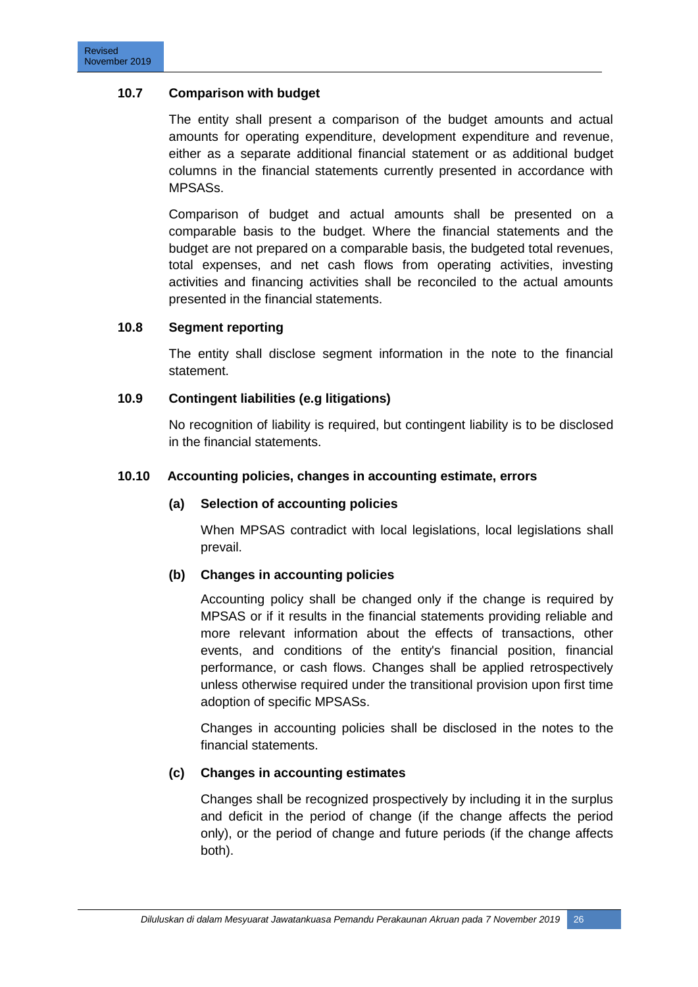# **10.7 Comparison with budget**

The entity shall present a comparison of the budget amounts and actual amounts for operating expenditure, development expenditure and revenue, either as a separate additional financial statement or as additional budget columns in the financial statements currently presented in accordance with MPSASs.

Comparison of budget and actual amounts shall be presented on a comparable basis to the budget. Where the financial statements and the budget are not prepared on a comparable basis, the budgeted total revenues, total expenses, and net cash flows from operating activities, investing activities and financing activities shall be reconciled to the actual amounts presented in the financial statements.

#### **10.8 Segment reporting**

The entity shall disclose segment information in the note to the financial statement.

# **10.9 Contingent liabilities (e.g litigations)**

No recognition of liability is required, but contingent liability is to be disclosed in the financial statements.

# **10.10 Accounting policies, changes in accounting estimate, errors**

#### **(a) Selection of accounting policies**

When MPSAS contradict with local legislations, local legislations shall prevail.

#### **(b) Changes in accounting policies**

Accounting policy shall be changed only if the change is required by MPSAS or if it results in the financial statements providing reliable and more relevant information about the effects of transactions, other events, and conditions of the entity's financial position, financial performance, or cash flows. Changes shall be applied retrospectively unless otherwise required under the transitional provision upon first time adoption of specific MPSASs.

Changes in accounting policies shall be disclosed in the notes to the financial statements.

#### **(c) Changes in accounting estimates**

Changes shall be recognized prospectively by including it in the surplus and deficit in the period of change (if the change affects the period only), or the period of change and future periods (if the change affects both).